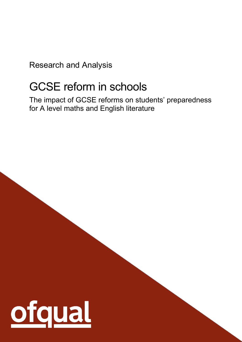Research and Analysis

# GCSE reform in schools

The impact of GCSE reforms on students' preparedness for A level maths and English literature

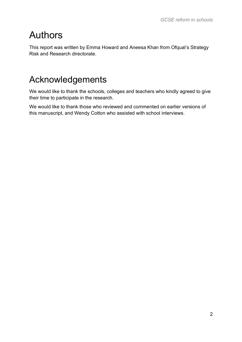# Authors

This report was written by Emma Howard and Aneesa Khan from Ofqual's Strategy Risk and Research directorate.

# Acknowledgements

We would like to thank the schools, colleges and teachers who kindly agreed to give their time to participate in the research.

We would like to thank those who reviewed and commented on earlier versions of this manuscript, and Wendy Cotton who assisted with school interviews.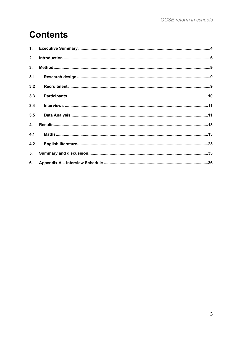# **Contents**

| 1.  |  |
|-----|--|
| 2.  |  |
| 3.  |  |
| 3.1 |  |
| 3.2 |  |
| 3.3 |  |
| 3.4 |  |
| 3.5 |  |
| 4.  |  |
| 4.1 |  |
| 4.2 |  |
| 5.  |  |
| 6.  |  |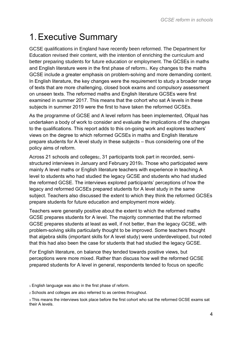# <span id="page-3-0"></span>1.Executive Summary

GCSE qualifications in England have recently been reformed. The Department for Education revised their content, with the intention of enriching the curriculum and better preparing students for future education or employment. The GCSEs in maths and English literature were in the first phase of reform<sub>1</sub>. Key changes to the maths GCSE include a greater emphasis on problem-solving and more demanding content. In English literature, the key changes were the requirement to study a broader range of texts that are more challenging, closed book exams and compulsory assessment on unseen texts. The reformed maths and English literature GCSEs were first examined in summer 2017. This means that the cohort who sat A levels in these subjects in summer 2019 were the first to have taken the reformed GCSEs.

As the programme of GCSE and A level reform has been implemented, Ofqual has undertaken a body of work to consider and evaluate the implications of the changes to the qualifications. This report adds to this on-going work and explores teachers' views on the degree to which reformed GCSEs in maths and English literature prepare students for A level study in these subjects – thus considering one of the policy aims of reform.

Across 21 schools and colleges<sub>2</sub>, 31 participants took part in recorded, semistructured interviews in January and February 20193. Those who participated were mainly A level maths or English literature teachers with experience in teaching A level to students who had studied the legacy GCSE and students who had studied the reformed GCSE. The interviews explored participants' perceptions of how the legacy and reformed GCSEs prepared students for A level study in the same subject. Teachers also discussed the extent to which they think the reformed GCSEs prepare students for future education and employment more widely.

Teachers were generally positive about the extent to which the reformed maths GCSE prepares students for A level. The majority commented that the reformed GCSE prepares students at least as well, if not better, than the legacy GCSE, with problem-solving skills particularly thought to be improved. Some teachers thought that algebra skills (important skills for A level study) were underdeveloped, but noted that this had also been the case for students that had studied the legacy GCSE.

For English literature, on balance they tended towards positive views, but perceptions were more mixed. Rather than discuss how well the reformed GCSE prepared students for A level in general, respondents tended to focus on specific

<sup>1</sup> English language was also in the first phase of reform.

<sup>2</sup> Schools and colleges are also referred to as centres throughout.

<sup>3</sup> This means the interviews took place before the first cohort who sat the reformed GCSE exams sat their A levels.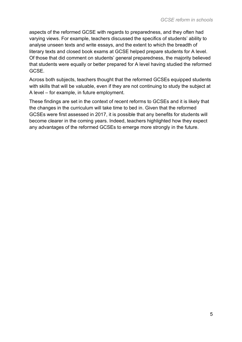aspects of the reformed GCSE with regards to preparedness, and they often had varying views. For example, teachers discussed the specifics of students' ability to analyse unseen texts and write essays, and the extent to which the breadth of literary texts and closed book exams at GCSE helped prepare students for A level. Of those that did comment on students' general preparedness, the majority believed that students were equally or better prepared for A level having studied the reformed **GCSE** 

Across both subjects, teachers thought that the reformed GCSEs equipped students with skills that will be valuable, even if they are not continuing to study the subject at A level – for example, in future employment.

These findings are set in the context of recent reforms to GCSEs and it is likely that the changes in the curriculum will take time to bed in. Given that the reformed GCSEs were first assessed in 2017, it is possible that any benefits for students will become clearer in the coming years. Indeed, teachers highlighted how they expect any advantages of the reformed GCSEs to emerge more strongly in the future.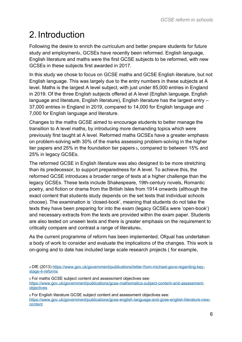# <span id="page-5-0"></span>2. Introduction

Following the desire to enrich the curriculum and better prepare students for future study and employment4, GCSEs have recently been reformed. English language, English literature and maths were the first GCSE subjects to be reformed, with new GCSEs in these subjects first awarded in 2017.

In this study we chose to focus on GCSE maths and GCSE English literature, but not English language. This was largely due to the entry numbers in these subjects at A level. Maths is the largest A level subject, with just under 85,000 entries in England in 2019. Of the three English subjects offered at A level (English language, English language and literature, English literature), English literature has the largest entry – 37,000 entries in England in 2019, compared to 14,000 for English language and 7,000 for English language and literature.

Changes to the maths GCSE aimed to encourage students to better manage the transition to A level maths, by introducing more demanding topics which were previously first taught at A level. Reformed maths GCSEs have a greater emphasis on problem-solving with 30% of the marks assessing problem-solving in the higher tier papers and 25% in the foundation tier papers <sup>5</sup>, compared to between 15% and 25% in legacy GCSEs.

The reformed GCSE in English literature was also designed to be more stretching than its predecessor, to support preparedness for A level. To achieve this, the reformed GCSE introduces a broader range of texts at a higher challenge than the legacy GCSEs. These texts include Shakespeare, 19th-century novels, Romantic poetry, and fiction or drama from the British Isles from 1914 onwards (although the exact content that students study depends on the set texts that individual schools choose). The examination is 'closed-book', meaning that students do not take the texts they have been preparing for into the exam (legacy GCSEs were 'open-book') and necessary extracts from the texts are provided within the exam paper. Students are also tested on unseen texts and there is greater emphasis on the requirement to critically compare and contrast a range of literature6.

As the current programme of reform has been implemented, Ofqual has undertaken a body of work to consider and evaluate the implications of the changes. This work is on-going and to date has included large scale research projects ( for example,

<sup>5</sup> For maths GCSE subject content and assessment objectives see: [https://www.gov.uk/government/publications/gcse-mathematics-subject-content-and-assessment](https://www.gov.uk/government/publications/gcse-mathematics-subject-content-and-assessment-objectives)[objectives](https://www.gov.uk/government/publications/gcse-mathematics-subject-content-and-assessment-objectives) 

<sup>6</sup> For English literature GCSE subject content and assessment objectives see: [https://www.gov.uk/government/publications/gcse-english-language-and-gcse-english-literature-new](https://www.gov.uk/government/publications/gcse-english-language-and-gcse-english-literature-new-content)[content](https://www.gov.uk/government/publications/gcse-english-language-and-gcse-english-literature-new-content)

<sup>4</sup> DfE (2013) [https://www.gov.uk/government/publications/letter-from-michael-gove-regarding-key](https://www.gov.uk/government/publications/letter-from-michael-gove-regarding-key-stage-4-reforms)[stage-4-reforms](https://www.gov.uk/government/publications/letter-from-michael-gove-regarding-key-stage-4-reforms)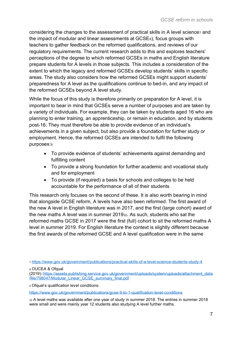considering the changes to the assessment of practical skills in A level science and the impact of modular and linear assessments at GCSE8), focus groups with teachers to gather feedback on the reformed qualifications, and reviews of our regulatory requirements. The current research adds to this and explores teachers' perceptions of the degree to which reformed GCSEs in maths and English literature prepare students for A levels in those subjects. This includes a consideration of the extent to which the legacy and reformed GCSEs develop students' skills in specific areas. The study also considers how the reformed GCSEs might support students' preparedness for A level as the qualifications continue to bed-in, and any impact of the reformed GCSEs beyond A level study.

While the focus of this study is therefore primarily on preparation for A level, it is important to bear in mind that GCSEs serve a number of purposes and are taken by a variety of individuals. For example, they can be taken by students aged 16 who are planning to enter training, an apprenticeship, or remain in education, and by students post-16. They must therefore be able to provide evidence of an individual's achievements in a given subject, but also provide a foundation for further study or employment. Hence, the reformed GCSEs are intended to fulfil the following purposes:<sup>9</sup>

- To provide evidence of students' achievements against demanding and fulfilling content
- To provide a strong foundation for further academic and vocational study and for employment
- To provide (if required) a basis for schools and colleges to be held accountable for the performance of all of their students

This research only focuses on the second of these. It is also worth bearing in mind that alongside GCSE reform, A levels have also been reformed. The first award of the new A level in English literature was in 2017, and the first (large cohort) award of the new maths A level was in summer 201910. As such, students who sat the reformed maths GCSE in 2017 were the first (full) cohort to sit the reformed maths A level in summer 2019. For English literature the context is slightly different because the first awards of the reformed GCSE and A level qualification were in the same

<sup>8</sup> OUCEA & Ofqual

<sup>9</sup> Ofqual's qualification level conditions:

<https://www.gov.uk/government/publications/gcse-9-to-1-qualification-level-conditions>

<sup>10</sup> A level maths was available after one year of study in summer 2018. The entries in summer 2018 were small and were mainly year 12 students also studying A level further maths.

<sup>7</sup> <https://www.gov.uk/government/publications/practical-skills-of-a-level-science-students-study-4>

<sup>(2019):</sup>[:https://assets.publishing.service.gov.uk/government/uploads/system/uploads/attachment\\_data](https://assets.publishing.service.gov.uk/government/uploads/system/uploads/attachment_data/file/798047/Modular_Linear_GCSE_summary_final.pdf) [/file/798047/Modular\\_Linear\\_GCSE\\_summary\\_final.pdf](https://assets.publishing.service.gov.uk/government/uploads/system/uploads/attachment_data/file/798047/Modular_Linear_GCSE_summary_final.pdf)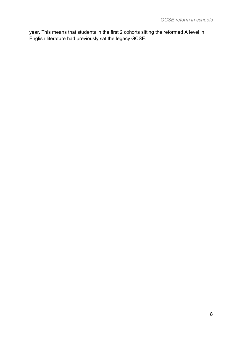year. This means that students in the first 2 cohorts sitting the reformed A level in English literature had previously sat the legacy GCSE.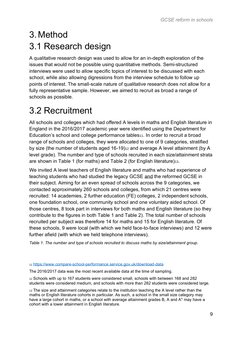# <span id="page-8-1"></span><span id="page-8-0"></span>3. Method 3.1 Research design

A qualitative research design was used to allow for an in-depth exploration of the issues that would not be possible using quantitative methods. Semi-structured interviews were used to allow specific topics of interest to be discussed with each school, while also allowing digressions from the interview schedule to follow up points of interest. The small-scale nature of qualitative research does not allow for a fully representative sample. However, we aimed to recruit as broad a range of schools as possible.

# <span id="page-8-2"></span>3.2 Recruitment

All schools and colleges which had offered A levels in maths and English literature in England in the 2016/2017 academic year were identified using the Department for Education's school and college performance tables<sup>11</sup>. In order to recruit a broad range of schools and colleges, they were allocated to one of 9 categories, stratified by size (the number of students aged 16-19)<sup>12</sup> and average A level attainment (by A level grade). The number and type of schools recruited in each size/attainment strata are shown in [Table 1](#page-8-3) (for maths) and [Table 2](#page-9-1) (for English literature) $13$ .

We invited A level teachers of English literature and maths who had experience of teaching students who had studied the legacy GCSE and the reformed GCSE in their subject. Aiming for an even spread of schools across the 9 categories, we contacted approximately 260 schools and colleges, from which 21 centres were recruited: 14 academies, 2 further education (FE) colleges, 2 independent schools, one foundation school, one community school and one voluntary aided school. Of those centres, 8 took part in interviews for both maths and English literature (so they contribute to the figures in both Table 1 and Table 2). The total number of schools recruited per subject was therefore 14 for maths and 15 for English literature. Of these schools, 9 were local (with which we held face-to-face interviews) and 12 were further afield (with which we held telephone interviews).

<span id="page-8-3"></span>*Table 1. The number and type of schools recruited to discuss maths by size/attainment group.*

#### <sup>11</sup> <https://www.compare-school-performance.service.gov.uk/download-data>

The 2016/2017 data was the most recent available data at the time of sampling.

<sup>12</sup> Schools with up to 167 students were considered small, schools with between 168 and 282 students were considered medium, and schools with more than 282 students were considered large.

13 The size and attainment categories relate to the institution teaching the A level rather than the maths or English literature cohorts in particular. As such, a school in the small size category may have a large cohort in maths, or a school with average attainment grades B, A and A\* may have a cohort with a lower attainment in English literature.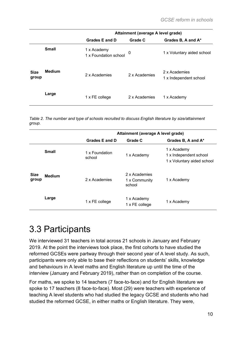|                      |               | Attainment (average A level grade)   |               |                                         |
|----------------------|---------------|--------------------------------------|---------------|-----------------------------------------|
|                      |               | Grades E and D                       | Grade C       | Grades B, A and A*                      |
|                      | <b>Small</b>  | 1 x Academy<br>1 x Foundation school | 0             | 1 x Voluntary aided school              |
| <b>Size</b><br>group | <b>Medium</b> | 2 x Academies                        | 2 x Academies | 2 x Academies<br>1 x Independent school |
|                      | Large         | 1 x FE college                       | 2 x Academies | 1 x Academy                             |

<span id="page-9-1"></span>*Table 2. The number and type of schools recruited to discuss English literature by size/attainment group.*

|                      |               | Attainment (average A level grade) |                                          |                                                                     |
|----------------------|---------------|------------------------------------|------------------------------------------|---------------------------------------------------------------------|
|                      |               | Grades E and D                     | Grade C                                  | Grades B, A and A*                                                  |
|                      | <b>Small</b>  | 1 x Foundation<br>school           | 1 x Academy                              | 1 x Academy<br>1 x Independent school<br>1 x Voluntary aided school |
| <b>Size</b><br>group | <b>Medium</b> | 2 x Academies                      | 2 x Academies<br>1 x Community<br>school | 1 x Academy                                                         |
|                      | Large         | 1 x FE college                     | 1 x Academy<br>1 x FE college            | 1 x Academy                                                         |

# <span id="page-9-0"></span>3.3 Participants

We interviewed 31 teachers in total across 21 schools in January and February 2019. At the point the interviews took place, the first cohorts to have studied the reformed GCSEs were partway through their second year of A level study. As such, participants were only able to base their reflections on students' skills, knowledge and behaviours in A level maths and English literature up until the time of the interview (January and February 2019), rather than on completion of the course.

For maths, we spoke to 14 teachers (7 face-to-face) and for English literature we spoke to 17 teachers (8 face-to-face). Most (29) were teachers with experience of teaching A level students who had studied the legacy GCSE and students who had studied the reformed GCSE, in either maths or English literature. They were,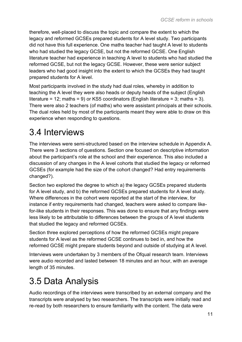therefore, well-placed to discuss the topic and compare the extent to which the legacy and reformed GCSEs prepared students for A level study. Two participants did not have this full experience. One maths teacher had taught A level to students who had studied the legacy GCSE, but not the reformed GCSE. One English literature teacher had experience in teaching A level to students who had studied the reformed GCSE, but not the legacy GCSE. However, these were senior subject leaders who had good insight into the extent to which the GCSEs they had taught prepared students for A level.

Most participants involved in the study had dual roles, whereby in addition to teaching the A level they were also heads or deputy heads of the subject (English literature = 12; maths = 9) or KS5 coordinators (English literature = 3; maths = 3). There were also 2 teachers (of maths) who were assistant principals at their schools. The dual roles held by most of the participants meant they were able to draw on this experience when responding to questions.

# <span id="page-10-0"></span>3.4 Interviews

The interviews were semi-structured based on the interview schedule in Appendix A. There were 3 sections of questions. Section one focused on descriptive information about the participant's role at the school and their experience. This also included a discussion of any changes in the A level cohorts that studied the legacy or reformed GCSEs (for example had the size of the cohort changed? Had entry requirements changed?).

Section two explored the degree to which a) the legacy GCSEs prepared students for A level study, and b) the reformed GCSEs prepared students for A level study. Where differences in the cohort were reported at the start of the interview, for instance if entry requirements had changed, teachers were asked to compare likefor-like students in their responses. This was done to ensure that any findings were less likely to be attributable to differences between the groups of A level students that studied the legacy and reformed GCSEs.

Section three explored perceptions of how the reformed GCSEs might prepare students for A level as the reformed GCSE continues to bed in, and how the reformed GCSE might prepare students beyond and outside of studying at A level.

Interviews were undertaken by 3 members of the Ofqual research team. Interviews were audio recorded and lasted between 18 minutes and an hour, with an average length of 35 minutes.

# <span id="page-10-1"></span>3.5 Data Analysis

Audio recordings of the interviews were transcribed by an external company and the transcripts were analysed by two researchers. The transcripts were initially read and re-read by both researchers to ensure familiarity with the content. The data were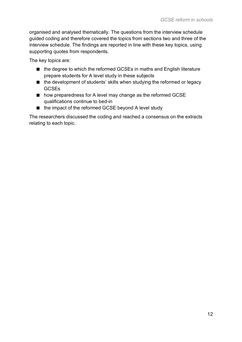organised and analysed thematically. The questions from the interview schedule guided coding and therefore covered the topics from sections two and three of the interview schedule. The findings are reported in line with these key topics, using supporting quotes from respondents.

The key topics are:

- the degree to which the reformed GCSEs in maths and English literature prepare students for A level study in these subjects
- the development of students' skills when studying the reformed or legacy **GCSEs**
- how preparedness for A level may change as the reformed GCSE qualifications continue to bed-in
- the impact of the reformed GCSE beyond A level study

The researchers discussed the coding and reached a consensus on the extracts relating to each topic.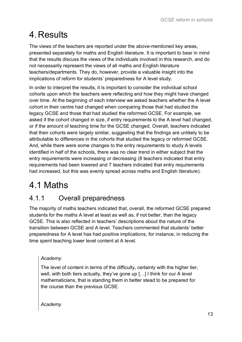# <span id="page-12-0"></span>4.Results

The views of the teachers are reported under the above-mentioned key areas, presented separately for maths and English literature. It is important to bear in mind that the results discuss the views of the individuals involved in this research, and do not necessarily represent the views of all maths and English literature teachers/departments. They do, however, provide a valuable insight into the implications of reform for students' preparedness for A level study.

In order to interpret the results, it is important to consider the individual school cohorts upon which the teachers were reflecting and how they might have changed over time. At the beginning of each interview we asked teachers whether the A level cohort in their centre had changed when comparing those that had studied the legacy GCSE and those that had studied the reformed GCSE. For example, we asked if the cohort changed in size, if entry requirements to the A level had changed, or if the amount of teaching time for the GCSE changed. Overall, teachers indicated that their cohorts were largely similar, suggesting that the findings are unlikely to be attributable to differences in the cohorts that studied the legacy or reformed GCSE. And, while there were some changes to the entry requirements to study A levels identified in half of the schools, there was no clear trend in either subject that the entry requirements were increasing or decreasing (8 teachers indicated that entry requirements had been lowered and 7 teachers indicated that entry requirements had increased, but this was evenly spread across maths and English literature).

# <span id="page-12-1"></span>4.1 Maths

### 4.1.1 Overall preparedness

The majority of maths teachers indicated that, overall, the reformed GCSE prepared students for the maths A level at least as well as, if not better, than the legacy GCSE. This is also reflected in teachers' descriptions about the nature of the transition between GCSE and A level. Teachers commented that students' better preparedness for A level has had positive implications, for instance, in reducing the time spent teaching lower level content at A level.

### *Academy*

The level of content in terms of the difficulty, certainly with the higher tier, well, with both tiers actually, they've gone up […] I think for our A level mathematicians, that is standing them in better stead to be prepared for the course than the previous GCSE.

*Academy*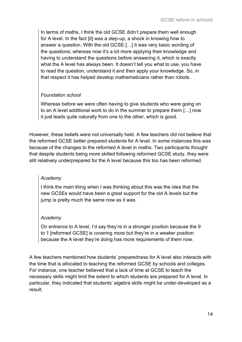In terms of maths, I think the old GCSE didn't prepare them well enough for A level. In the fact [it] was a step-up, a shock in knowing how to answer a question. With the old GCSE […] it was very basic wording of the questions; whereas now it's a lot more applying their knowledge and having to understand the questions before answering it, which is exactly what the A level has always been. It doesn't tell you what to use, you have to read the question, understand it and then apply your knowledge. So, in that respect it has helped develop mathematicians rather than robots.

### *Foundation school*

Whereas before we were often having to give students who were going on to an A level additional work to do in the summer to prepare them […] now it just leads quite naturally from one to the other, which is good.

However, these beliefs were not universally held. A few teachers did not believe that the reformed GCSE better prepared students for A level. In some instances this was because of the changes to the reformed A level in maths. Two participants thought that despite students being more skilled following reformed GCSE study, they were still relatively underprepared for the A level because this too has been reformed.

### *Academy*

I think the main thing when I was thinking about this was the idea that the new GCSEs would have been a great support for the old A levels but the jump is pretty much the same now as it was.

### *Academy*

On entrance to A level, I'd say they're in a stronger position because the 9 to 1 [reformed GCSE] is covering more but they're in a weaker position because the A level they're doing has more requirements of them now.

A few teachers mentioned how students' preparedness for A level also interacts with the time that is allocated to teaching the reformed GCSE by schools and colleges. For instance, one teacher believed that a lack of time at GCSE to teach the necessary skills might limit the extent to which students are prepared for A level. In particular, they indicated that students' algebra skills might be under-developed as a result.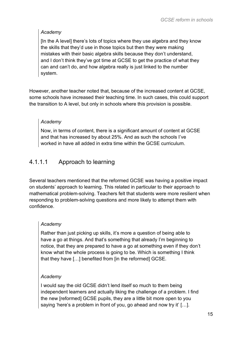### *Academy*

[In the A level] there's lots of topics where they use algebra and they know the skills that they'd use in those topics but then they were making mistakes with their basic algebra skills because they don't understand, and I don't think they've got time at GCSE to get the practice of what they can and can't do, and how algebra really is just linked to the number system.

However, another teacher noted that, because of the increased content at GCSE, some schools have increased their teaching time. In such cases, this could support the transition to A level, but only in schools where this provision is possible.

### *Academy*

Now, in terms of content, there is a significant amount of content at GCSE and that has increased by about 25%. And as such the schools I've worked in have all added in extra time within the GCSE curriculum.

### 4.1.1.1 Approach to learning

Several teachers mentioned that the reformed GCSE was having a positive impact on students' approach to learning. This related in particular to their approach to mathematical problem-solving. Teachers felt that students were more resilient when responding to problem-solving questions and more likely to attempt them with confidence.

### *Academy*

Rather than just picking up skills, it's more a question of being able to have a go at things. And that's something that already I'm beginning to notice, that they are prepared to have a go at something even if they don't know what the whole process is going to be. Which is something I think that they have […] benefited from [in the reformed] GCSE.

### *Academy*

I would say the old GCSE didn't lend itself so much to them being independent learners and actually liking the challenge of a problem. I find the new [reformed] GCSE pupils, they are a little bit more open to you saying 'here's a problem in front of you, go ahead and now try it' […].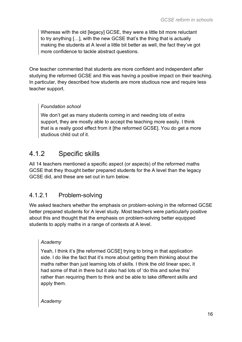Whereas with the old [legacy] GCSE, they were a little bit more reluctant to try anything […], with the new GCSE that's the thing that is actually making the students at A level a little bit better as well, the fact they've got more confidence to tackle abstract questions.

One teacher commented that students are more confident and independent after studying the reformed GCSE and this was having a positive impact on their teaching. In particular, they described how students are more studious now and require less teacher support.

### *Foundation school*

We don't get as many students coming in and needing lots of extra support, they are mostly able to accept the teaching more easily. I think that is a really good effect from it [the reformed GCSE]. You do get a more studious child out of it.

### 4.1.2 Specific skills

All 14 teachers mentioned a specific aspect (or aspects) of the reformed maths GCSE that they thought better prepared students for the A level than the legacy GCSE did, and these are set out in turn below.

### 4.1.2.1 Problem-solving

We asked teachers whether the emphasis on problem-solving in the reformed GCSE better prepared students for A level study. Most teachers were particularly positive about this and thought that the emphasis on problem-solving better equipped students to apply maths in a range of contexts at A level.

### *Academy*

Yeah, I think it's [the reformed GCSE] trying to bring in that application side. I do like the fact that it's more about getting them thinking about the maths rather than just learning lots of skills. I think the old linear spec, it had some of that in there but it also had lots of 'do this and solve this' rather than requiring them to think and be able to take different skills and apply them.

*Academy*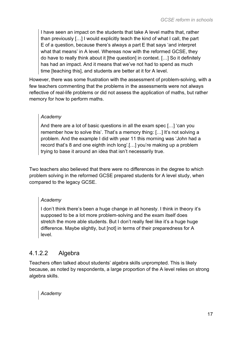I have seen an impact on the students that take A level maths that, rather than previously […] I would explicitly teach the kind of what I call, the part E of a question, because there's always a part E that says 'and interpret what that means' in A level. Whereas now with the reformed GCSE, they do have to really think about it [the question] in context. […] So it definitely has had an impact. And it means that we've not had to spend as much time [teaching this], and students are better at it for A level.

However, there was some frustration with the assessment of problem-solving, with a few teachers commenting that the problems in the assessments were not always reflective of real-life problems or did not assess the application of maths, but rather memory for how to perform maths.

### *Academy*

And there are a lot of basic questions in all the exam spec […] 'can you remember how to solve this'. That's a memory thing: […] It's not solving a problem. And the example I did with year 11 this morning was 'John had a record that's 8 and one eighth inch long'.[…] you're making up a problem trying to base it around an idea that isn't necessarily true.

Two teachers also believed that there were no differences in the degree to which problem solving in the reformed GCSE prepared students for A level study, when compared to the legacy GCSE.

### *Academy*

I don't think there's been a huge change in all honesty. I think in theory it's supposed to be a lot more problem-solving and the exam itself does stretch the more able students. But I don't really feel like it's a huge huge difference. Maybe slightly, but [not] in terms of their preparedness for A level.

### 4.1.2.2 Algebra

Teachers often talked about students' algebra skills unprompted. This is likely because, as noted by respondents, a large proportion of the A level relies on strong algebra skills.

*Academy*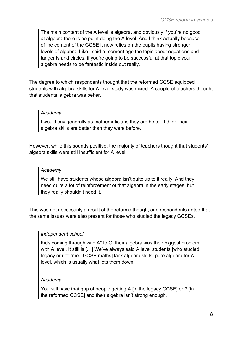The main content of the A level is algebra, and obviously if you're no good at algebra there is no point doing the A level. And I think actually because of the content of the GCSE it now relies on the pupils having stronger levels of algebra. Like I said a moment ago the topic about equations and tangents and circles, if you're going to be successful at that topic your algebra needs to be fantastic inside out really.

The degree to which respondents thought that the reformed GCSE equipped students with algebra skills for A level study was mixed. A couple of teachers thought that students' algebra was better.

### *Academy*

I would say generally as mathematicians they are better. I think their algebra skills are better than they were before.

However, while this sounds positive, the majority of teachers thought that students' algebra skills were still insufficient for A level.

#### *Academy*

We still have students whose algebra isn't quite up to it really. And they need quite a lot of reinforcement of that algebra in the early stages, but they really shouldn't need it.

This was not necessarily a result of the reforms though, and respondents noted that the same issues were also present for those who studied the legacy GCSEs.

### *Independent school*

Kids coming through with A\* to G, their algebra was their biggest problem with A level. It still is […] We've always said A level students [who studied legacy or reformed GCSE maths] lack algebra skills, pure algebra for A level, which is usually what lets them down.

### *Academy*

You still have that gap of people getting A [in the legacy GCSE] or 7 [in the reformed GCSE] and their algebra isn't strong enough.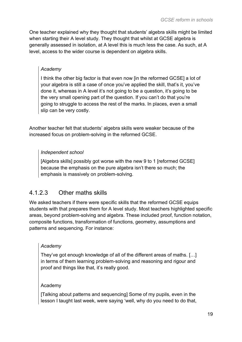One teacher explained why they thought that students' algebra skills might be limited when starting their A level study. They thought that whilst at GCSE algebra is generally assessed in isolation, at A level this is much less the case. As such, at A level, access to the wider course is dependent on algebra skills.

### *Academy*

I think the other big factor is that even now [in the reformed GCSE] a lot of your algebra is still a case of once you've applied the skill, that's it, you've done it, whereas in A level it's not going to be a question, it's going to be the very small opening part of the question. If you can't do that you're going to struggle to access the rest of the marks. In places, even a small slip can be very costly.

Another teacher felt that students' algebra skills were weaker because of the increased focus on problem-solving in the reformed GCSE.

### *Independent school*

[Algebra skills] possibly got worse with the new 9 to 1 [reformed GCSE] because the emphasis on the pure algebra isn't there so much; the emphasis is massively on problem-solving.

### 4.1.2.3 Other maths skills

We asked teachers if there were specific skills that the reformed GCSE equips students with that prepares them for A level study. Most teachers highlighted specific areas, beyond problem-solving and algebra. These included proof, function notation, composite functions, transformation of functions, geometry, assumptions and patterns and sequencing. For instance:

### *Academy*

They've got enough knowledge of all of the different areas of maths. […] in terms of them learning problem-solving and reasoning and rigour and proof and things like that, it's really good.

### Academy

[Talking about patterns and sequencing] Some of my pupils, even in the lesson I taught last week, were saying 'well, why do you need to do that,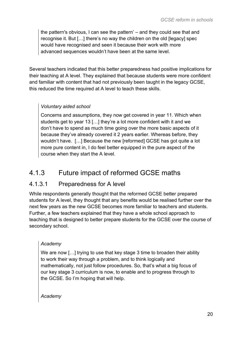the pattern's obvious, I can see the pattern' – and they could see that and recognise it. But […] there's no way the children on the old [legacy] spec would have recognised and seen it because their work with more advanced sequences wouldn't have been at the same level.

Several teachers indicated that this better preparedness had positive implications for their teaching at A level. They explained that because students were more confident and familiar with content that had not previously been taught in the legacy GCSE, this reduced the time required at A level to teach these skills.

### *Voluntary aided school*

Concerns and assumptions, they now get covered in year 11. Which when students get to year 13 […] they're a lot more confident with it and we don't have to spend as much time going over the more basic aspects of it because they've already covered it 2 years earlier. Whereas before, they wouldn't have. […] Because the new [reformed] GCSE has got quite a lot more pure content in, I do feel better equipped in the pure aspect of the course when they start the A level.

### 4.1.3 Future impact of reformed GCSE maths

### 4.1.3.1 Preparedness for A level

While respondents generally thought that the reformed GCSE better prepared students for A level, they thought that any benefits would be realised further over the next few years as the new GCSE becomes more familiar to teachers and students. Further, a few teachers explained that they have a whole school approach to teaching that is designed to better prepare students for the GCSE over the course of secondary school.

### *Academy*

We are now [...] trying to use that key stage 3 time to broaden their ability to work their way through a problem, and to think logically and mathematically, not just follow procedures. So, that's what a big focus of our key stage 3 curriculum is now, to enable and to progress through to the GCSE. So I'm hoping that will help.

*Academy*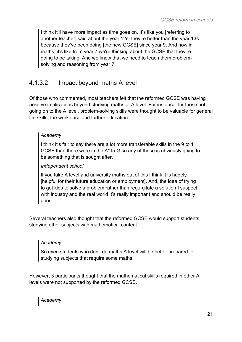I think it'll have more impact as time goes on. It's like you [referring to another teacher] said about the year 12s, they're better than the year 13s because they've been doing [the new GCSE] since year 9. And now in maths, it's like from year 7 we're thinking about the GCSE that they're going to be taking. And we know that we need to teach them problemsolving and reasoning from year 7.

### 4.1.3.2 Impact beyond maths A level

Of those who commented, most teachers felt that the reformed GCSE was having positive implications beyond studying maths at A level. For instance, for those not going on to the A level, problem-solving skills were thought to be valuable for general life skills, the workplace and further education.

### *Academy*

I think it's fair to say there are a lot more transferable skills in the 9 to 1 GCSE than there were in the A\* to G so any of those is obviously going to be something that is sought after.

### *Independent school*

If you take A level and university maths out of this I think it is hugely [helpful for their future education or employment]. And, the idea of trying to get kids to solve a problem rather than regurgitate a solution I suspect with industry and the real world it's really important and should be really good.

Several teachers also thought that the reformed GCSE would support students studying other subjects with mathematical content.

### *Academy*

So even students who don't do maths A level will be better prepared for studying subjects that require some maths.

However, 3 participants thought that the mathematical skills required in other A levels were not supported by the reformed GCSE.

*Academy*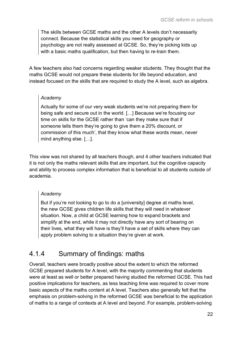The skills between GCSE maths and the other A levels don't necessarily connect. Because the statistical skills you need for geography or psychology are not really assessed at GCSE. So, they're picking kids up with a basic maths qualification, but then having to re-train them.

A few teachers also had concerns regarding weaker students. They thought that the maths GCSE would not prepare these students for life beyond education, and instead focused on the skills that are required to study the A level, such as algebra.

### *Academy*

Actually for some of our very weak students we're not preparing them for being safe and secure out in the world. […] Because we're focusing our time on skills for the GCSE rather than 'can they make sure that if someone tells them they're going to give them a 20% discount, or commission of this much', that they know what these words mean, never mind anything else. […].

This view was not shared by all teachers though, and 4 other teachers indicated that it is not only the maths relevant skills that are important, but the cognitive capacity and ability to process complex information that is beneficial to all students outside of academia.

### *Academy*

But if you're not looking to go to do a [university] degree at maths level, the new GCSE gives children life skills that they will need in whatever situation. Now, a child at GCSE learning how to expand brackets and simplify at the end, while it may not directly have any sort of bearing on their lives, what they will have is they'll have a set of skills where they can apply problem solving to a situation they're given at work.

### 4.1.4 Summary of findings: maths

Overall, teachers were broadly positive about the extent to which the reformed GCSE prepared students for A level, with the majority commenting that students were at least as well or better prepared having studied the reformed GCSE. This had positive implications for teachers, as less teaching time was required to cover more basic aspects of the maths content at A level. Teachers also generally felt that the emphasis on problem-solving in the reformed GCSE was beneficial to the application of maths to a range of contexts at A level and beyond. For example, problem-solving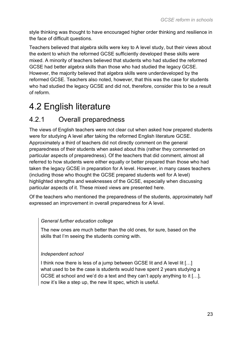style thinking was thought to have encouraged higher order thinking and resilience in the face of difficult questions.

Teachers believed that algebra skills were key to A level study, but their views about the extent to which the reformed GCSE sufficiently developed these skills were mixed. A minority of teachers believed that students who had studied the reformed GCSE had better algebra skills than those who had studied the legacy GCSE. However, the majority believed that algebra skills were underdeveloped by the reformed GCSE. Teachers also noted, however, that this was the case for students who had studied the legacy GCSE and did not, therefore, consider this to be a result of reform.

# <span id="page-22-0"></span>4.2 English literature

### 4.2.1 Overall preparedness

The views of English teachers were not clear cut when asked how prepared students were for studying A level after taking the reformed English literature GCSE. Approximately a third of teachers did not directly comment on the general preparedness of their students when asked about this (rather they commented on particular aspects of preparedness). Of the teachers that did comment, almost all referred to how students were either equally or better prepared than those who had taken the legacy GCSE in preparation for A level. However, in many cases teachers (including those who thought the GCSE prepared students well for A level) highlighted strengths and weaknesses of the GCSE, especially when discussing particular aspects of it. These mixed views are presented here.

Of the teachers who mentioned the preparedness of the students, approximately half expressed an improvement in overall preparedness for A level.

### *General further education college*

The new ones are much better than the old ones, for sure, based on the skills that I'm seeing the students coming with.

### *Independent school*

I think now there is less of a jump between GCSE lit and A level lit […] what used to be the case is students would have spent 2 years studying a GCSE at school and we'd do a text and they can't apply anything to it […], now it's like a step up, the new lit spec, which is useful.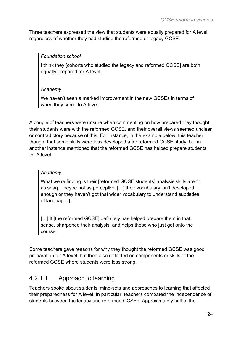Three teachers expressed the view that students were equally prepared for A level regardless of whether they had studied the reformed or legacy GCSE.

### *Foundation school*

I think they [cohorts who studied the legacy and reformed GCSE] are both equally prepared for A level.

### *Academy*

We haven't seen a marked improvement in the new GCSEs in terms of when they come to A level.

A couple of teachers were unsure when commenting on how prepared they thought their students were with the reformed GCSE, and their overall views seemed unclear or contradictory because of this. For instance, in the example below, this teacher thought that some skills were less developed after reformed GCSE study, but in another instance mentioned that the reformed GCSE has helped prepare students for A level.

### *Academy*

What we're finding is their [reformed GCSE students] analysis skills aren't as sharp, they're not as perceptive […] their vocabulary isn't developed enough or they haven't got that wider vocabulary to understand subtleties of language. […]

[...] It [the reformed GCSE] definitely has helped prepare them in that sense, sharpened their analysis, and helps those who just get onto the course.

Some teachers gave reasons for why they thought the reformed GCSE was good preparation for A level, but then also reflected on components or skills of the reformed GCSE where students were less strong.

### 4.2.1.1 Approach to learning

Teachers spoke about students' mind-sets and approaches to learning that affected their preparedness for A level. In particular, teachers compared the independence of students between the legacy and reformed GCSEs. Approximately half of the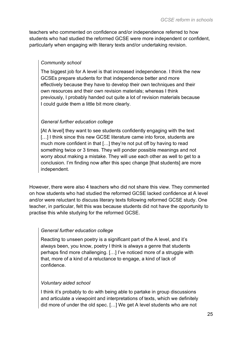teachers who commented on confidence and/or independence referred to how students who had studied the reformed GCSE were more independent or confident, particularly when engaging with literary texts and/or undertaking revision.

### *Community school*

The biggest job for A level is that increased independence. I think the new GCSEs prepare students for that independence better and more effectively because they have to develop their own techniques and their own resources and their own revision materials; whereas I think previously, I probably handed out quite a lot of revision materials because I could guide them a little bit more clearly.

### *General further education college*

[At A level] they want to see students confidently engaging with the text [...] I think since this new GCSE literature came into force, students are much more confident in that […] they're not put off by having to read something twice or 3 times. They will ponder possible meanings and not worry about making a mistake. They will use each other as well to get to a conclusion. I'm finding now after this spec change [that students] are more independent.

However, there were also 4 teachers who did not share this view. They commented on how students who had studied the reformed GCSE lacked confidence at A level and/or were reluctant to discuss literary texts following reformed GCSE study. One teacher, in particular, felt this was because students did not have the opportunity to practise this while studying for the reformed GCSE.

### *General further education college*

Reacting to unseen poetry is a significant part of the A level, and it's always been, you know, poetry I think is always a genre that students perhaps find more challenging. […] I've noticed more of a struggle with that, more of a kind of a reluctance to engage, a kind of lack of confidence.

### *Voluntary aided school*

I think it's probably to do with being able to partake in group discussions and articulate a viewpoint and interpretations of texts, which we definitely did more of under the old spec. […] We get A level students who are not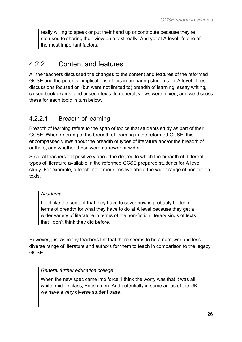really willing to speak or put their hand up or contribute because they're not used to sharing their view on a text really. And yet at A level it's one of the most important factors.

### 4.2.2 Content and features

All the teachers discussed the changes to the content and features of the reformed GCSE and the potential implications of this in preparing students for A level. These discussions focused on (but were not limited to) breadth of learning, essay writing, closed book exams, and unseen texts. In general, views were mixed, and we discuss these for each topic in turn below.

### 4.2.2.1 Breadth of learning

Breadth of learning refers to the span of topics that students study as part of their GCSE. When referring to the breadth of learning in the reformed GCSE, this encompassed views about the breadth of types of literature and/or the breadth of authors, and whether these were narrower or wider.

Several teachers felt positively about the degree to which the breadth of different types of literature available in the reformed GCSE prepared students for A level study. For example, a teacher felt more positive about the wider range of non-fiction texts.

### *Academy*

I feel like the content that they have to cover now is probably better in terms of breadth for what they have to do at A level because they get a wider variety of literature in terms of the non-fiction literary kinds of texts that I don't think they did before.

However, just as many teachers felt that there seems to be a narrower and less diverse range of literature and authors for them to teach in comparison to the legacy GCSE.

### *General further education college*

When the new spec came into force, I think the worry was that it was all white, middle class, British men. And potentially in some areas of the UK we have a very diverse student base.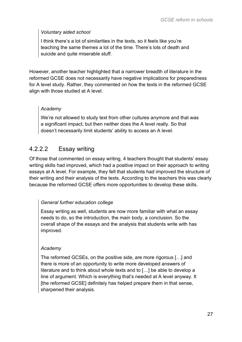### *Voluntary aided school*

I think there's a lot of similarities in the texts, so it feels like you're teaching the same themes a lot of the time. There's lots of death and suicide and quite miserable stuff.

However, another teacher highlighted that a narrower breadth of literature in the reformed GCSE does not necessarily have negative implications for preparedness for A level study. Rather, they commented on how the texts in the reformed GCSE align with those studied at A level.

### *Academy*

We're not allowed to study text from other cultures anymore and that was a significant impact, but then neither does the A level really. So that doesn't necessarily limit students' ability to access an A level.

### 4.2.2.2 Essay writing

Of those that commented on essay writing, 4 teachers thought that students' essay writing skills had improved, which had a positive impact on their approach to writing essays at A level. For example, they felt that students had improved the structure of their writing and their analysis of the texts. According to the teachers this was clearly because the reformed GCSE offers more opportunities to develop these skills.

### *General further education college*

Essay writing as well, students are now more familiar with what an essay needs to do, so the introduction, the main body, a conclusion. So the overall shape of the essays and the analysis that students write with has improved.

### *Academy*

The reformed GCSEs, on the positive side, are more rigorous […] and there is more of an opportunity to write more developed answers of literature and to think about whole texts and to […] be able to develop a line of argument. Which is everything that's needed at A level anyway. It [the reformed GCSE] definitely has helped prepare them in that sense, sharpened their analysis.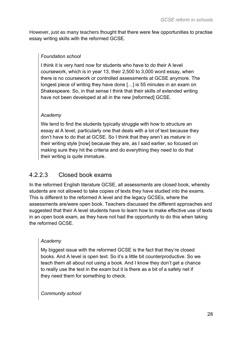However, just as many teachers thought that there were few opportunities to practise essay writing skills with the reformed GCSE.

### *Foundation school*

I think it is very hard now for students who have to do their A level coursework, which is in year 13, their 2,500 to 3,000 word essay, when there is no coursework or controlled assessments at GCSE anymore. The longest piece of writing they have done […] is 55 minutes in an exam on Shakespeare. So, in that sense I think that their skills of extended writing have not been developed at all in the new [reformed] GCSE.

### *Academy*

We tend to find the students typically struggle with how to structure an essay at A level, particularly one that deals with a lot of text because they don't have to do that at GCSE. So I think that they aren't as mature in their writing style [now] because they are, as I said earlier, so focused on making sure they hit the criteria and do everything they need to do that their writing is quite immature.

### 4.2.2.3 Closed book exams

In the reformed English literature GCSE, all assessments are closed book, whereby students are not allowed to take copies of texts they have studied into the exams. This is different to the reformed A level and the legacy GCSEs, where the assessments are/were open book. Teachers discussed the different approaches and suggested that their A level students have to learn how to make effective use of texts in an open book exam, as they have not had the opportunity to do this when taking the reformed GCSE.

### *Academy*

My biggest issue with the reformed GCSE is the fact that they're closed books. And A level is open text. So it's a little bit counterproductive. So we teach them all about not using a book. And I know they don't get a chance to really use the text in the exam but it is there as a bit of a safety net if they need them for something to check.

*Community school*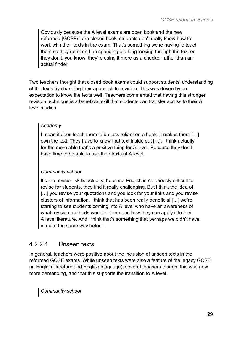Obviously because the A level exams are open book and the new reformed [GCSEs] are closed book, students don't really know how to work with their texts in the exam. That's something we're having to teach them so they don't end up spending too long looking through the text or they don't, you know, they're using it more as a checker rather than an actual finder.

Two teachers thought that closed book exams could support students' understanding of the texts by changing their approach to revision. This was driven by an expectation to know the texts well. Teachers commented that having this stronger revision technique is a beneficial skill that students can transfer across to their A level studies.

### *Academy*

I mean it does teach them to be less reliant on a book. It makes them […] own the text. They have to know that text inside out […]. I think actually for the more able that's a positive thing for A level. Because they don't have time to be able to use their texts at A level.

### *Community school*

It's the revision skills actually, because English is notoriously difficult to revise for students, they find it really challenging. But I think the idea of, [...] you revise your quotations and you look for your links and you revise clusters of information, I think that has been really beneficial […] we're starting to see students coming into A level who have an awareness of what revision methods work for them and how they can apply it to their A level literature. And I think that's something that perhaps we didn't have in quite the same way before.

### 4.2.2.4 Unseen texts

In general, teachers were positive about the inclusion of unseen texts in the reformed GCSE exams. While unseen texts were also a feature of the legacy GCSE (in English literature and English language), several teachers thought this was now more demanding, and that this supports the transition to A level.

*Community school*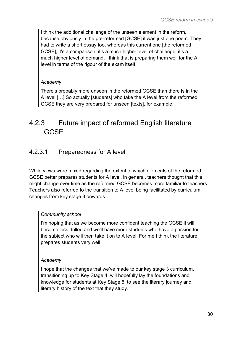I think the additional challenge of the unseen element in the reform, because obviously in the pre-reformed [GCSE] it was just one poem. They had to write a short essay too, whereas this current one [the reformed GCSE], it's a comparison, it's a much higher level of challenge, it's a much higher level of demand. I think that is preparing them well for the A level in terms of the rigour of the exam itself.

### *Academy*

There's probably more unseen in the reformed GCSE than there is in the A level […] So actually [students] who take the A level from the reformed GCSE they are very prepared for unseen [texts], for example.

### 4.2.3 Future impact of reformed English literature **GCSE**

### 4.2.3.1 Preparedness for A level

While views were mixed regarding the extent to which elements of the reformed GCSE better prepares students for A level, in general, teachers thought that this might change over time as the reformed GCSE becomes more familiar to teachers. Teachers also referred to the transition to A level being facilitated by curriculum changes from key stage 3 onwards.

### *Community school*

I'm hoping that as we become more confident teaching the GCSE it will become less drilled and we'll have more students who have a passion for the subject who will then take it on to A level. For me I think the literature prepares students very well.

### *Academy*

I hope that the changes that we've made to our key stage 3 curriculum, transitioning up to Key Stage 4, will hopefully lay the foundations and knowledge for students at Key Stage 5, to see the literary journey and literary history of the text that they study.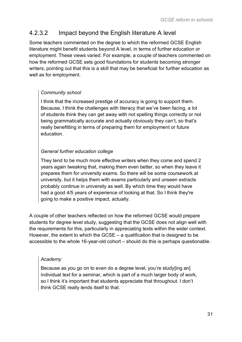### 4.2.3.2 Impact beyond the English literature A level

Some teachers commented on the degree to which the reformed GCSE English literature might benefit students beyond A level, in terms of further education or employment. These views varied. For example, a couple of teachers commented on how the reformed GCSE sets good foundations for students becoming stronger writers, pointing out that this is a skill that may be beneficial for further education as well as for employment.

### *Community school*

I think that the increased prestige of accuracy is going to support them. Because, I think the challenges with literacy that we've been facing, a lot of students think they can get away with not spelling things correctly or not being grammatically accurate and actually obviously they can't, so that's really benefitting in terms of preparing them for employment or future education.

### *General further education college*

They tend to be much more effective writers when they come and spend 2 years again tweaking that, making them even better, so when they leave it prepares them for university exams. So there will be some coursework at university, but it helps them with exams particularly and unseen extracts probably continue in university as well. By which time they would have had a good 4/5 years of experience of looking at that. So I think they're going to make a positive impact, actually.

A couple of other teachers reflected on how the reformed GCSE would prepare students for degree level study, suggesting that the GCSE does not align well with the requirements for this, particularly in appreciating texts within the wider context. However, the extent to which the GCSE – a qualification that is designed to be accessible to the whole 16-year-old cohort – should do this is perhaps questionable.

### *Academy*

Because as you go on to even do a degree level, you're study[ing an] individual text for a seminar, which is part of a much larger body of work, so I think it's important that students appreciate that throughout. I don't think GCSE really lends itself to that.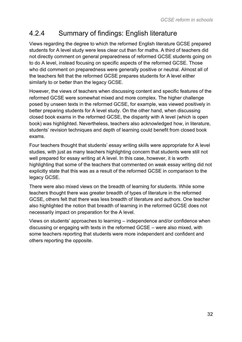### 4.2.4 Summary of findings: English literature

Views regarding the degree to which the reformed English literature GCSE prepared students for A level study were less clear cut than for maths. A third of teachers did not directly comment on general preparedness of reformed GCSE students going on to do A level, instead focusing on specific aspects of the reformed GCSE. Those who did comment on preparedness were generally positive or neutral. Almost all of the teachers felt that the reformed GCSE prepares students for A level either similarly to or better than the legacy GCSE.

However, the views of teachers when discussing content and specific features of the reformed GCSE were somewhat mixed and more complex. The higher challenge posed by unseen texts in the reformed GCSE, for example, was viewed positively in better preparing students for A level study. On the other hand, when discussing closed book exams in the reformed GCSE, the disparity with A level (which is open book) was highlighted. Nevertheless, teachers also acknowledged how, in literature, students' revision techniques and depth of learning could benefit from closed book exams.

Four teachers thought that students' essay writing skills were appropriate for A level studies, with just as many teachers highlighting concern that students were still not well prepared for essay writing at A level. In this case, however, it is worth highlighting that some of the teachers that commented on weak essay writing did not explicitly state that this was as a result of the reformed GCSE in comparison to the legacy GCSE.

There were also mixed views on the breadth of learning for students. While some teachers thought there was greater breadth of types of literature in the reformed GCSE, others felt that there was less breadth of literature and authors. One teacher also highlighted the notion that breadth of learning in the reformed GCSE does not necessarily impact on preparation for the A level.

Views on students' approaches to learning – independence and/or confidence when discussing or engaging with texts in the reformed GCSE – were also mixed, with some teachers reporting that students were more independent and confident and others reporting the opposite.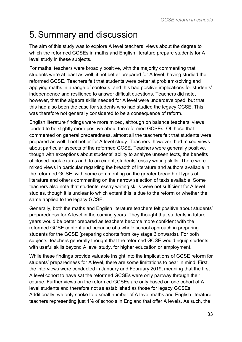# <span id="page-32-0"></span>5.Summary and discussion

The aim of this study was to explore A level teachers' views about the degree to which the reformed GCSEs in maths and English literature prepare students for A level study in these subjects.

For maths, teachers were broadly positive, with the majority commenting that students were at least as well, if not better prepared for A level, having studied the reformed GCSE. Teachers felt that students were better at problem-solving and applying maths in a range of contexts, and this had positive implications for students' independence and resilience to answer difficult questions. Teachers did note, however, that the algebra skills needed for A level were underdeveloped, but that this had also been the case for students who had studied the legacy GCSE. This was therefore not generally considered to be a consequence of reform.

English literature findings were more mixed, although on balance teachers' views tended to be slightly more positive about the reformed GCSEs. Of those that commented on general preparedness, almost all the teachers felt that students were prepared as well if not better for A level study. Teachers, however, had mixed views about particular aspects of the reformed GCSE. Teachers were generally positive, though with exceptions about students' ability to analyse unseen texts, the benefits of closed-book exams and, to an extent, students' essay writing skills. There were mixed views in particular regarding the breadth of literature and authors available in the reformed GCSE, with some commenting on the greater breadth of types of literature and others commenting on the narrow selection of texts available. Some teachers also note that students' essay writing skills were not sufficient for A level studies, though it is unclear to which extent this is due to the reform or whether the same applied to the legacy GCSE.

Generally, both the maths and English literature teachers felt positive about students' preparedness for A level in the coming years. They thought that students in future years would be better prepared as teachers become more confident with the reformed GCSE content and because of a whole school approach in preparing students for the GCSE (preparing cohorts from key stage 3 onwards). For both subjects, teachers generally thought that the reformed GCSE would equip students with useful skills beyond A level study, for higher education or employment.

While these findings provide valuable insight into the implications of GCSE reform for students' preparedness for A level, there are some limitations to bear in mind. First, the interviews were conducted in January and February 2019, meaning that the first A level cohort to have sat the reformed GCSEs were only partway through their course. Further views on the reformed GCSEs are only based on one cohort of A level students and therefore not as established as those for legacy GCSEs. Additionally, we only spoke to a small number of A level maths and English literature teachers representing just 1% of schools in England that offer A levels. As such, the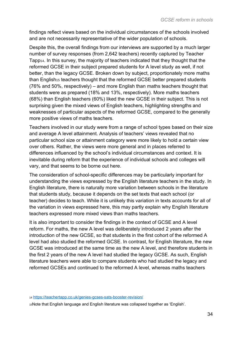findings reflect views based on the individual circumstances of the schools involved and are not necessarily representative of the wider population of schools.

Despite this, the overall findings from our interviews are supported by a much larger number of survey responses (from 2,642 teachers) recently captured by Teacher Tapp14. In this survey, the majority of teachers indicated that they thought that the reformed GCSE in their subject prepared students for A level study as well, if not better, than the legacy GCSE. Broken down by subject, proportionately more maths than English<sup>15</sup> teachers thought that the reformed GCSE better prepared students (76% and 50%, respectively) – and more English than maths teachers thought that students were as prepared (18% and 13%, respectively). More maths teachers (68%) than English teachers (60%) liked the new GCSE in their subject. This is not surprising given the mixed views of English teachers, highlighting strengths and weaknesses of particular aspects of the reformed GCSE, compared to the generally more positive views of maths teachers.

Teachers involved in our study were from a range of school types based on their size and average A level attainment. Analysis of teachers' views revealed that no particular school size or attainment category were more likely to hold a certain view over others. Rather, the views were more general and in places referred to differences influenced by the school's individual circumstances and context. It is inevitable during reform that the experience of individual schools and colleges will vary, and that seems to be borne out here.

The consideration of school-specific differences may be particularly important for understanding the views expressed by the English literature teachers in the study. In English literature, there is naturally more variation between schools in the literature that students study, because it depends on the set texts that each school (or teacher) decides to teach. While it is unlikely this variation in texts accounts for all of the variation in views expressed here, this may partly explain why English literature teachers expressed more mixed views than maths teachers.

It is also important to consider the findings in the context of GCSE and A level reform. For maths, the new A level was deliberately introduced 2 years after the introduction of the new GCSE, so that students in the first cohort of the reformed A level had also studied the reformed GCSE. In contrast, for English literature, the new GCSE was introduced at the same time as the new A level, and therefore students in the first 2 years of the new A level had studied the legacy GCSE. As such, English literature teachers were able to compare students who had studied the legacy and reformed GCSEs and continued to the reformed A level, whereas maths teachers

<sup>14</sup> <https://teachertapp.co.uk/genies-gcses-sats-booster-revision/>

15Note that English language and English literature was collapsed together as 'English'.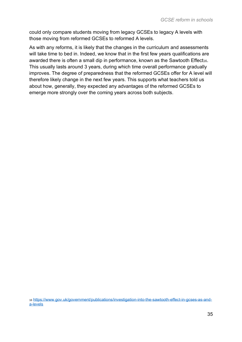could only compare students moving from legacy GCSEs to legacy A levels with those moving from reformed GCSEs to reformed A levels.

As with any reforms, it is likely that the changes in the curriculum and assessments will take time to bed in. Indeed, we know that in the first few years qualifications are awarded there is often a small dip in performance, known as the Sawtooth Effect<sub>16</sub>. This usually lasts around 3 years, during which time overall performance gradually improves. The degree of preparedness that the reformed GCSEs offer for A level will therefore likely change in the next few years. This supports what teachers told us about how, generally, they expected any advantages of the reformed GCSEs to emerge more strongly over the coming years across both subjects.

<sup>16</sup> [https://www.gov.uk/government/publications/investigation-into-the-sawtooth-effect-in-gcses-as-and](https://www.gov.uk/government/publications/investigation-into-the-sawtooth-effect-in-gcses-as-and-a-levels)[a-levels](https://www.gov.uk/government/publications/investigation-into-the-sawtooth-effect-in-gcses-as-and-a-levels)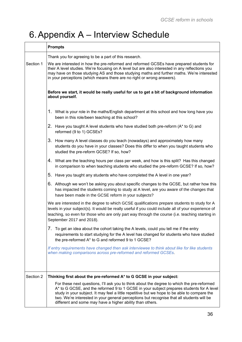# <span id="page-35-0"></span>6.Appendix A – Interview Schedule

|           | <b>Prompts</b>                                                                                                                                                                                                                                                                                                                                                     |                                                                                                                                                                                                                                                                                                                                                                                                                                                  |  |  |  |  |
|-----------|--------------------------------------------------------------------------------------------------------------------------------------------------------------------------------------------------------------------------------------------------------------------------------------------------------------------------------------------------------------------|--------------------------------------------------------------------------------------------------------------------------------------------------------------------------------------------------------------------------------------------------------------------------------------------------------------------------------------------------------------------------------------------------------------------------------------------------|--|--|--|--|
|           | Thank you for agreeing to be a part of this research.                                                                                                                                                                                                                                                                                                              |                                                                                                                                                                                                                                                                                                                                                                                                                                                  |  |  |  |  |
| Section 1 | We are interested in how the pre-reformed and reformed GCSEs have prepared students for<br>their A level studies. We're focusing on A level but are also interested in any reflections you<br>may have on those studying AS and those studying maths and further maths. We're interested<br>in your perceptions (which means there are no right or wrong answers). |                                                                                                                                                                                                                                                                                                                                                                                                                                                  |  |  |  |  |
|           | Before we start, it would be really useful for us to get a bit of background information<br>about yourself.                                                                                                                                                                                                                                                        |                                                                                                                                                                                                                                                                                                                                                                                                                                                  |  |  |  |  |
|           | 1. What is your role in the maths/English department at this school and how long have you<br>been in this role/been teaching at this school?                                                                                                                                                                                                                       |                                                                                                                                                                                                                                                                                                                                                                                                                                                  |  |  |  |  |
|           | 2. Have you taught A level students who have studied both pre-reform (A* to G) and<br>reformed (9 to 1) GCSEs?                                                                                                                                                                                                                                                     |                                                                                                                                                                                                                                                                                                                                                                                                                                                  |  |  |  |  |
|           |                                                                                                                                                                                                                                                                                                                                                                    | 3. How many A level classes do you teach (nowadays) and approximately how many<br>students do you have in your classes? Does this differ to when you taught students who<br>studied the pre-reform GCSE? If so, how?                                                                                                                                                                                                                             |  |  |  |  |
|           |                                                                                                                                                                                                                                                                                                                                                                    | 4. What are the teaching hours per class per week, and how is this split? Has this changed<br>in comparison to when teaching students who studied the pre-reform GCSE? If so, how?                                                                                                                                                                                                                                                               |  |  |  |  |
|           |                                                                                                                                                                                                                                                                                                                                                                    | 5. Have you taught any students who have completed the A level in one year?                                                                                                                                                                                                                                                                                                                                                                      |  |  |  |  |
|           |                                                                                                                                                                                                                                                                                                                                                                    | 6. Although we won't be asking you about specific changes to the GCSE, but rather how this<br>has impacted the students coming to study at A level, are you aware of the changes that<br>have been made in the GCSE reform in your subjects?                                                                                                                                                                                                     |  |  |  |  |
|           |                                                                                                                                                                                                                                                                                                                                                                    | We are interested in the degree to which GCSE qualifications prepare students to study for A<br>levels in your subject(s). It would be really useful if you could include all of your experience of<br>teaching, so even for those who are only part way through the course (i.e. teaching starting in<br>September 2017 and 2018).                                                                                                              |  |  |  |  |
|           |                                                                                                                                                                                                                                                                                                                                                                    | 7. To get an idea about the cohort taking the A levels, could you tell me if the entry<br>requirements to start studying for the A level has changed for students who have studied<br>the pre-reformed A* to G and reformed 9 to 1 GCSE?                                                                                                                                                                                                         |  |  |  |  |
|           |                                                                                                                                                                                                                                                                                                                                                                    | If entry requirements have changed then ask interviewee to think about like for like students<br>when making comparisons across pre-reformed and reformed GCSEs.                                                                                                                                                                                                                                                                                 |  |  |  |  |
|           |                                                                                                                                                                                                                                                                                                                                                                    |                                                                                                                                                                                                                                                                                                                                                                                                                                                  |  |  |  |  |
| Section 2 |                                                                                                                                                                                                                                                                                                                                                                    | Thinking first about the pre-reformed A* to G GCSE in your subject:                                                                                                                                                                                                                                                                                                                                                                              |  |  |  |  |
|           |                                                                                                                                                                                                                                                                                                                                                                    | For these next questions, I'll ask you to think about the degree to which the pre-reformed<br>A* to G GCSE, and the reformed 9 to 1 GCSE in your subject prepares students for A level<br>study in your subject. It may feel a little repetitive but we hope to be able to compare the<br>two. We're interested in your general perceptions but recognise that all students will be<br>different and some may have a higher ability than others. |  |  |  |  |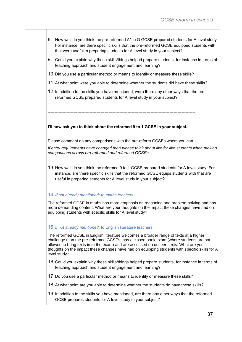- 8. How well do you think the pre-reformed A\* to G GCSE prepared students for A level study. For instance, are there specific skills that the pre-reformed GCSE equipped students with that were useful in preparing students for A level study in your subject?
- 9. Could you explain why these skills/things helped prepare students, for instance in terms of teaching approach and student engagement and learning?
- 10.Did you use a particular method or means to identify or measure these skills?
- 11.At what point were you able to determine whether the students did have these skills?
- 12.In addition to the skills you have mentioned, were there any other ways that the prereformed GCSE prepared students for A level study in your subject?

-------------------------------------------------------------------------------------------------------------

#### **I'll now ask you to think about the reformed 9 to 1 GCSE in your subject.**

Please comment on any comparisons with the pre-reform GCSEs where you can.

*If entry requirements have changed then please think about like for like students when making comparisons across pre-reformed and reformed GCSEs.*

13.How well do you think the reformed 9 to 1 GCSE prepared students for A level study. For instance, are there specific skills that the reformed GCSE equips students with that are useful in preparing students for A level study in your subject?

#### 14.*If not already mentioned: to maths teachers*

The reformed GCSE in maths has more emphasis on reasoning and problem-solving and has more demanding content. What are your thoughts on the impact these changes have had on equipping students with specific skills for A level study?

#### 15.*If not already mentioned*: to English literature teachers

The reformed GCSE in English literature welcomes a broader range of texts at a higher challenge than the pre-reformed GCSEs, has a closed book exam (where students are not allowed to bring texts in to the exam) and are assessed on unseen texts. What are your thoughts on the impact these changes have had on equipping students with specific skills for A level study?

- 16.Could you explain why these skills/things helped prepare students, for instance in terms of teaching approach and student engagement and learning?
- 17.Do you use a particular method or means to identify or measure these skills?
- 18.At what point are you able to determine whether the students do have these skills?
- 19.In addition to the skills you have mentioned, are there any other ways that the reformed GCSE prepares students for A level study in your subject?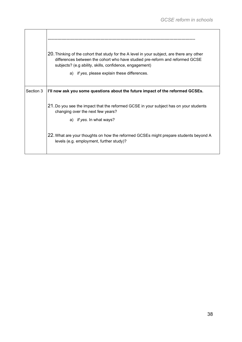|           | 20. Thinking of the cohort that study for the A level in your subject, are there any other<br>differences between the cohort who have studied pre-reform and reformed GCSE<br>subjects? (e.g ability, skills, confidence, engagement) |  |  |  |  |
|-----------|---------------------------------------------------------------------------------------------------------------------------------------------------------------------------------------------------------------------------------------|--|--|--|--|
|           | a) If yes, please explain these differences.                                                                                                                                                                                          |  |  |  |  |
| Section 3 | I'll now ask you some questions about the future impact of the reformed GCSEs.                                                                                                                                                        |  |  |  |  |
|           | 21. Do you see the impact that the reformed GCSE in your subject has on your students<br>changing over the next few years?<br>a) If yes. In what ways?                                                                                |  |  |  |  |
|           | 22. What are your thoughts on how the reformed GCSEs might prepare students beyond A<br>levels (e.g. employment, further study)?                                                                                                      |  |  |  |  |